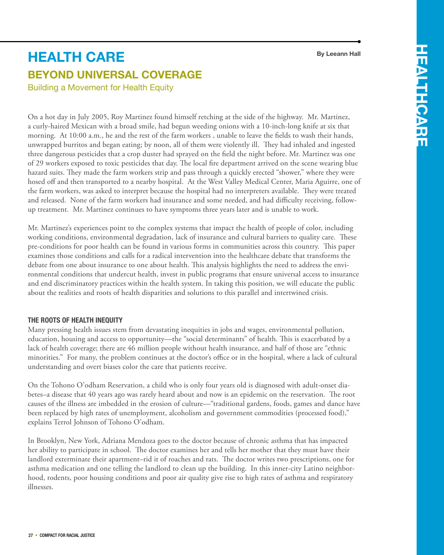#### **By Leeann Hall**

# **Beyond Universal Coverage health care**

Building a Movement for Health Equity

On a hot day in July 2005, Roy Martinez found himself retching at the side of the highway. Mr. Martinez, a curly-haired Mexican with a broad smile, had begun weeding onions with a 10-inch-long knife at six that morning. At 10:00 a.m., he and the rest of the farm workers , unable to leave the fields to wash their hands, unwrapped burritos and began eating; by noon, all of them were violently ill. They had inhaled and ingested three dangerous pesticides that a crop duster had sprayed on the field the night before. Mr. Martinez was one of 29 workers exposed to toxic pesticides that day. The local fire department arrived on the scene wearing blue hazard suits. They made the farm workers strip and pass through a quickly erected "shower," where they were hosed off and then transported to a nearby hospital. At the West Valley Medical Center, Maria Aguirre, one of the farm workers, was asked to interpret because the hospital had no interpreters available. They were treated and released. None of the farm workers had insurance and some needed, and had difficulty receiving, followup treatment. Mr. Martinez continues to have symptoms three years later and is unable to work.

Mr. Martinez's experiences point to the complex systems that impact the health of people of color, including working conditions, environmental degradation, lack of insurance and cultural barriers to quality care. These pre-conditions for poor health can be found in various forms in communities across this country. This paper examines those conditions and calls for a radical intervention into the healthcare debate that transforms the debate from one about insurance to one about health. This analysis highlights the need to address the environmental conditions that undercut health, invest in public programs that ensure universal access to insurance and end discriminatory practices within the health system. In taking this position, we will educate the public about the realities and roots of health disparities and solutions to this parallel and intertwined crisis.

# **The Roots of Health Inequity**

Many pressing health issues stem from devastating inequities in jobs and wages, environmental pollution, education, housing and access to opportunity—the "social determinants" of health. This is exacerbated by a lack of health coverage; there are 46 million people without health insurance, and half of those are "ethnic minorities." For many, the problem continues at the doctor's office or in the hospital, where a lack of cultural understanding and overt biases color the care that patients receive.

On the Tohono O'odham Reservation, a child who is only four years old is diagnosed with adult-onset diabetes–a disease that 40 years ago was rarely heard about and now is an epidemic on the reservation. The root causes of the illness are imbedded in the erosion of culture—"traditional gardens, foods, games and dance have been replaced by high rates of unemployment, alcoholism and government commodities (processed food)," explains Terrol Johnson of Tohono O'odham.

In Brooklyn, New York, Adriana Mendoza goes to the doctor because of chronic asthma that has impacted her ability to participate in school. The doctor examines her and tells her mother that they must have their landlord exterminate their apartment–rid it of roaches and rats. The doctor writes two prescriptions, one for asthma medication and one telling the landlord to clean up the building. In this inner-city Latino neighborhood, rodents, poor housing conditions and poor air quality give rise to high rates of asthma and respiratory illnesses.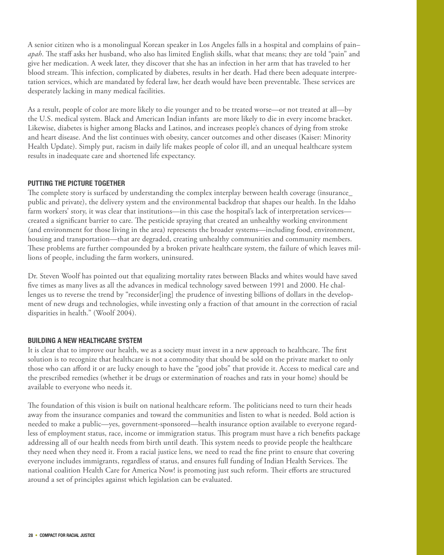A senior citizen who is a monolingual Korean speaker in Los Angeles falls in a hospital and complains of pain– *apah*. The staff asks her husband, who also has limited English skills, what that means; they are told "pain" and give her medication. A week later, they discover that she has an infection in her arm that has traveled to her blood stream. This infection, complicated by diabetes, results in her death. Had there been adequate interpretation services, which are mandated by federal law, her death would have been preventable. These services are desperately lacking in many medical facilities.

As a result, people of color are more likely to die younger and to be treated worse—or not treated at all—by the U.S. medical system. Black and American Indian infants are more likely to die in every income bracket. Likewise, diabetes is higher among Blacks and Latinos, and increases people's chances of dying from stroke and heart disease. And the list continues with obesity, cancer outcomes and other diseases (Kaiser: Minority Health Update). Simply put, racism in daily life makes people of color ill, and an unequal healthcare system results in inadequate care and shortened life expectancy.

### **Putting the Picture Together**

The complete story is surfaced by understanding the complex interplay between health coverage (insurance\_ public and private), the delivery system and the environmental backdrop that shapes our health. In the Idaho farm workers' story, it was clear that institutions—in this case the hospital's lack of interpretation services created a significant barrier to care. The pesticide spraying that created an unhealthy working environment (and environment for those living in the area) represents the broader systems—including food, environment, housing and transportation—that are degraded, creating unhealthy communities and community members. These problems are further compounded by a broken private healthcare system, the failure of which leaves millions of people, including the farm workers, uninsured.

Dr. Steven Woolf has pointed out that equalizing mortality rates between Blacks and whites would have saved five times as many lives as all the advances in medical technology saved between 1991 and 2000. He challenges us to reverse the trend by "reconsider[ing] the prudence of investing billions of dollars in the development of new drugs and technologies, while investing only a fraction of that amount in the correction of racial disparities in health." (Woolf 2004).

#### **Building a New Healthcare System**

It is clear that to improve our health, we as a society must invest in a new approach to healthcare. The first solution is to recognize that healthcare is not a commodity that should be sold on the private market to only those who can afford it or are lucky enough to have the "good jobs" that provide it. Access to medical care and the prescribed remedies (whether it be drugs or extermination of roaches and rats in your home) should be available to everyone who needs it.

The foundation of this vision is built on national healthcare reform. The politicians need to turn their heads away from the insurance companies and toward the communities and listen to what is needed. Bold action is needed to make a public—yes, government-sponsored—health insurance option available to everyone regardless of employment status, race, income or immigration status. This program must have a rich benefits package addressing all of our health needs from birth until death. This system needs to provide people the healthcare they need when they need it. From a racial justice lens, we need to read the fine print to ensure that covering everyone includes immigrants, regardless of status, and ensures full funding of Indian Health Services. The national coalition Health Care for America Now! is promoting just such reform. Their efforts are structured around a set of principles against which legislation can be evaluated.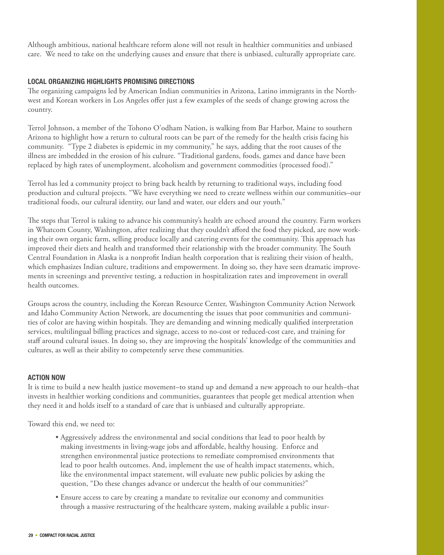Although ambitious, national healthcare reform alone will not result in healthier communities and unbiased care. We need to take on the underlying causes and ensure that there is unbiased, culturally appropriate care.

## **Local Organizing Highlights Promising Directions**

The organizing campaigns led by American Indian communities in Arizona, Latino immigrants in the Northwest and Korean workers in Los Angeles offer just a few examples of the seeds of change growing across the country.

Terrol Johnson, a member of the Tohono O'odham Nation, is walking from Bar Harbor, Maine to southern Arizona to highlight how a return to cultural roots can be part of the remedy for the health crisis facing his community. "Type 2 diabetes is epidemic in my community," he says, adding that the root causes of the illness are imbedded in the erosion of his culture. "Traditional gardens, foods, games and dance have been replaced by high rates of unemployment, alcoholism and government commodities (processed food)."

Terrol has led a community project to bring back health by returning to traditional ways, including food production and cultural projects. "We have everything we need to create wellness within our communities–our traditional foods, our cultural identity, our land and water, our elders and our youth."

The steps that Terrol is taking to advance his community's health are echoed around the country. Farm workers in Whatcom County, Washington, after realizing that they couldn't afford the food they picked, are now working their own organic farm, selling produce locally and catering events for the community. This approach has improved their diets and health and transformed their relationship with the broader community. The South Central Foundation in Alaska is a nonprofit Indian health corporation that is realizing their vision of health, which emphasizes Indian culture, traditions and empowerment. In doing so, they have seen dramatic improvements in screenings and preventive testing, a reduction in hospitalization rates and improvement in overall health outcomes.

Groups across the country, including the Korean Resource Center, Washington Community Action Network and Idaho Community Action Network, are documenting the issues that poor communities and communities of color are having within hospitals. They are demanding and winning medically qualified interpretation services, multilingual billing practices and signage, access to no-cost or reduced-cost care, and training for staff around cultural issues. In doing so, they are improving the hospitals' knowledge of the communities and cultures, as well as their ability to competently serve these communities.

#### **Action Now**

It is time to build a new health justice movement–to stand up and demand a new approach to our health–that invests in healthier working conditions and communities, guarantees that people get medical attention when they need it and holds itself to a standard of care that is unbiased and culturally appropriate.

Toward this end, we need to:

- Aggressively address the environmental and social conditions that lead to poor health by making investments in living-wage jobs and affordable, healthy housing. Enforce and strengthen environmental justice protections to remediate compromised environments that lead to poor health outcomes. And, implement the use of health impact statements, which, like the environmental impact statement, will evaluate new public policies by asking the question, "Do these changes advance or undercut the health of our communities?"
- Ensure access to care by creating a mandate to revitalize our economy and communities through a massive restructuring of the healthcare system, making available a public insur-